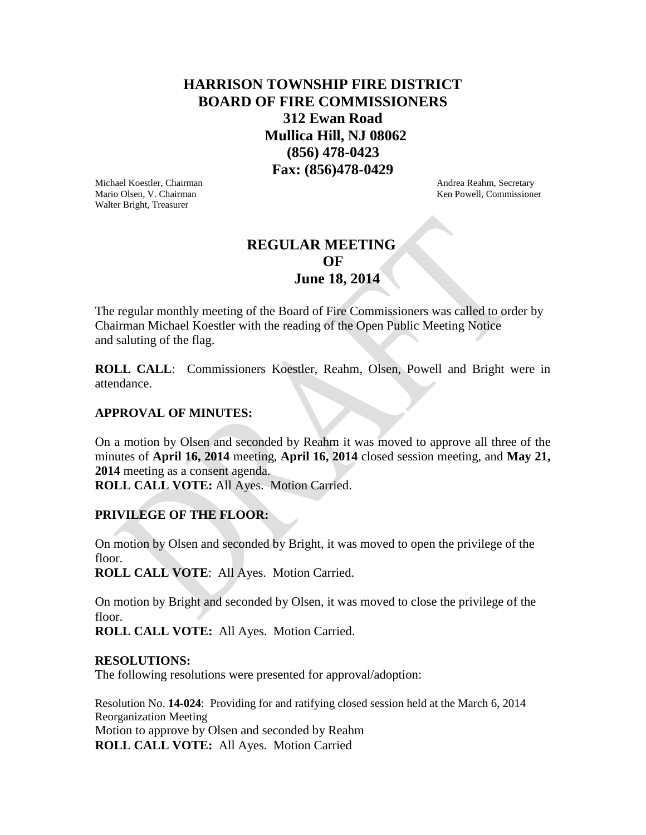## **HARRISON TOWNSHIP FIRE DISTRICT BOARD OF FIRE COMMISSIONERS 312 Ewan Road Mullica Hill, NJ 08062 (856) 478-0423 Fax: (856)478-0429**

Michael Koestler, Chairman **Andrea Reahm, Secretary** Andrea Reahm, Secretary Mario Olsen, V. Chairman Ken Powell, Commissioner Ken Powell, Commissioner Walter Bright, Treasurer

# **REGULAR MEETING**  *OF*  **June 18, 2014**

The regular monthly meeting of the Board of Fire Commissioners was called to order by Chairman Michael Koestler with the reading of the Open Public Meeting Notice and saluting of the flag.

**ROLL CALL**: Commissioners Koestler, Reahm, Olsen, Powell and Bright were in attendance.

## **APPROVAL OF MINUTES:**

On a motion by Olsen and seconded by Reahm it was moved to approve all three of the minutes of **April 16, 2014** meeting, **April 16, 2014** closed session meeting, and **May 21, 2014** meeting as a consent agenda.

**ROLL CALL VOTE:** All Ayes. Motion Carried.

## **PRIVILEGE OF THE FLOOR:**

On motion by Olsen and seconded by Bright, it was moved to open the privilege of the floor.

**ROLL CALL VOTE**: All Ayes. Motion Carried.

On motion by Bright and seconded by Olsen, it was moved to close the privilege of the floor.

**ROLL CALL VOTE:** All Ayes. Motion Carried.

#### **RESOLUTIONS:**

The following resolutions were presented for approval/adoption:

Resolution No. **14-024**: Providing for and ratifying closed session held at the March 6, 2014 Reorganization Meeting Motion to approve by Olsen and seconded by Reahm **ROLL CALL VOTE:** All Ayes. Motion Carried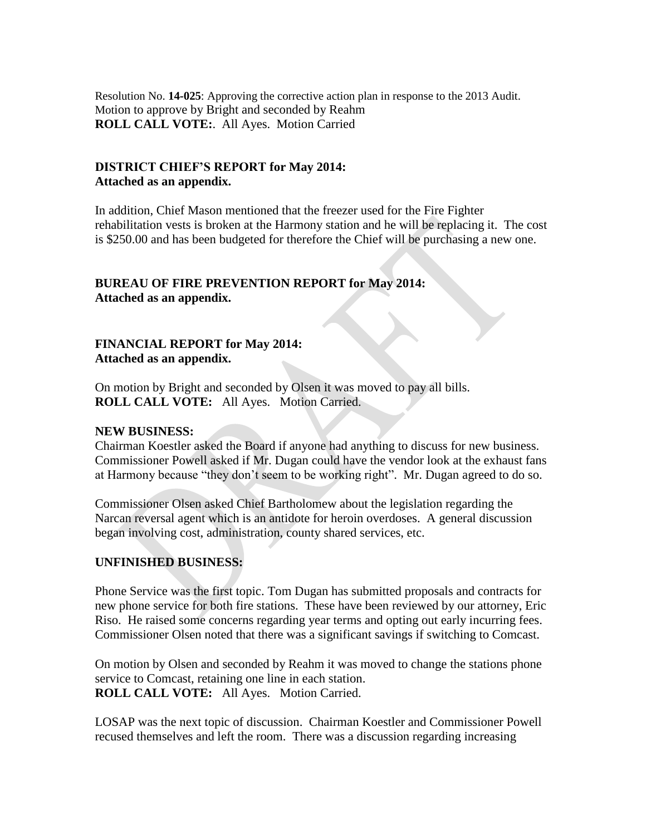Resolution No. **14-025**: Approving the corrective action plan in response to the 2013 Audit. Motion to approve by Bright and seconded by Reahm **ROLL CALL VOTE:**. All Ayes. Motion Carried

### **DISTRICT CHIEF'S REPORT for May 2014: Attached as an appendix.**

In addition, Chief Mason mentioned that the freezer used for the Fire Fighter rehabilitation vests is broken at the Harmony station and he will be replacing it. The cost is \$250.00 and has been budgeted for therefore the Chief will be purchasing a new one.

## **BUREAU OF FIRE PREVENTION REPORT for May 2014: Attached as an appendix.**

## **FINANCIAL REPORT for May 2014: Attached as an appendix.**

On motion by Bright and seconded by Olsen it was moved to pay all bills. **ROLL CALL VOTE:** All Ayes. Motion Carried.

#### **NEW BUSINESS:**

Chairman Koestler asked the Board if anyone had anything to discuss for new business. Commissioner Powell asked if Mr. Dugan could have the vendor look at the exhaust fans at Harmony because "they don't seem to be working right". Mr. Dugan agreed to do so.

Commissioner Olsen asked Chief Bartholomew about the legislation regarding the Narcan reversal agent which is an antidote for heroin overdoses. A general discussion began involving cost, administration, county shared services, etc.

#### **UNFINISHED BUSINESS:**

Phone Service was the first topic. Tom Dugan has submitted proposals and contracts for new phone service for both fire stations. These have been reviewed by our attorney, Eric Riso. He raised some concerns regarding year terms and opting out early incurring fees. Commissioner Olsen noted that there was a significant savings if switching to Comcast.

On motion by Olsen and seconded by Reahm it was moved to change the stations phone service to Comcast, retaining one line in each station. **ROLL CALL VOTE:** All Ayes. Motion Carried.

LOSAP was the next topic of discussion. Chairman Koestler and Commissioner Powell recused themselves and left the room. There was a discussion regarding increasing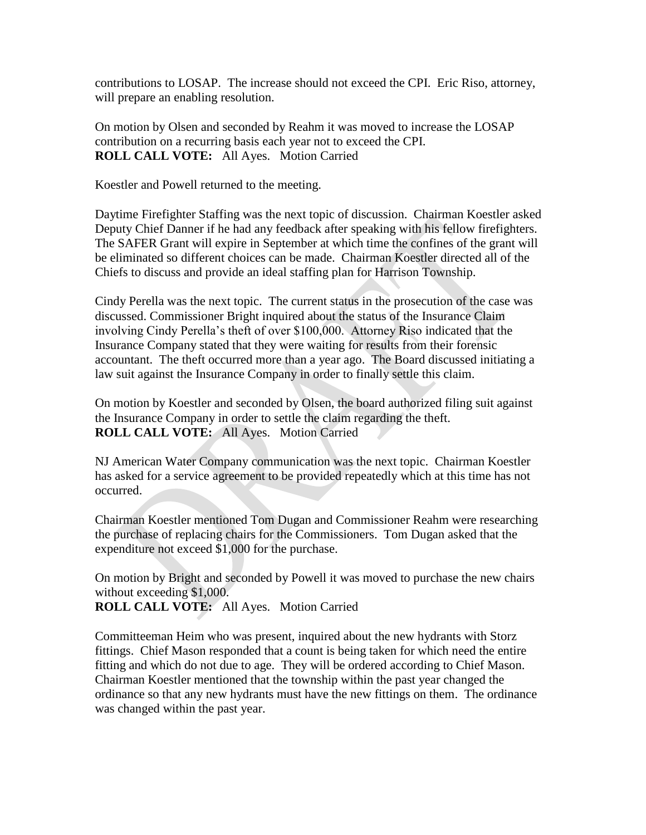contributions to LOSAP. The increase should not exceed the CPI. Eric Riso, attorney, will prepare an enabling resolution.

On motion by Olsen and seconded by Reahm it was moved to increase the LOSAP contribution on a recurring basis each year not to exceed the CPI. **ROLL CALL VOTE:** All Ayes. Motion Carried

Koestler and Powell returned to the meeting.

Daytime Firefighter Staffing was the next topic of discussion. Chairman Koestler asked Deputy Chief Danner if he had any feedback after speaking with his fellow firefighters. The SAFER Grant will expire in September at which time the confines of the grant will be eliminated so different choices can be made. Chairman Koestler directed all of the Chiefs to discuss and provide an ideal staffing plan for Harrison Township.

Cindy Perella was the next topic. The current status in the prosecution of the case was discussed. Commissioner Bright inquired about the status of the Insurance Claim involving Cindy Perella's theft of over \$100,000. Attorney Riso indicated that the Insurance Company stated that they were waiting for results from their forensic accountant. The theft occurred more than a year ago. The Board discussed initiating a law suit against the Insurance Company in order to finally settle this claim.

On motion by Koestler and seconded by Olsen, the board authorized filing suit against the Insurance Company in order to settle the claim regarding the theft. **ROLL CALL VOTE:** All Ayes. Motion Carried

NJ American Water Company communication was the next topic. Chairman Koestler has asked for a service agreement to be provided repeatedly which at this time has not occurred.

Chairman Koestler mentioned Tom Dugan and Commissioner Reahm were researching the purchase of replacing chairs for the Commissioners. Tom Dugan asked that the expenditure not exceed \$1,000 for the purchase.

On motion by Bright and seconded by Powell it was moved to purchase the new chairs without exceeding \$1,000.

**ROLL CALL VOTE:** All Ayes. Motion Carried

Committeeman Heim who was present, inquired about the new hydrants with Storz fittings. Chief Mason responded that a count is being taken for which need the entire fitting and which do not due to age. They will be ordered according to Chief Mason. Chairman Koestler mentioned that the township within the past year changed the ordinance so that any new hydrants must have the new fittings on them. The ordinance was changed within the past year.